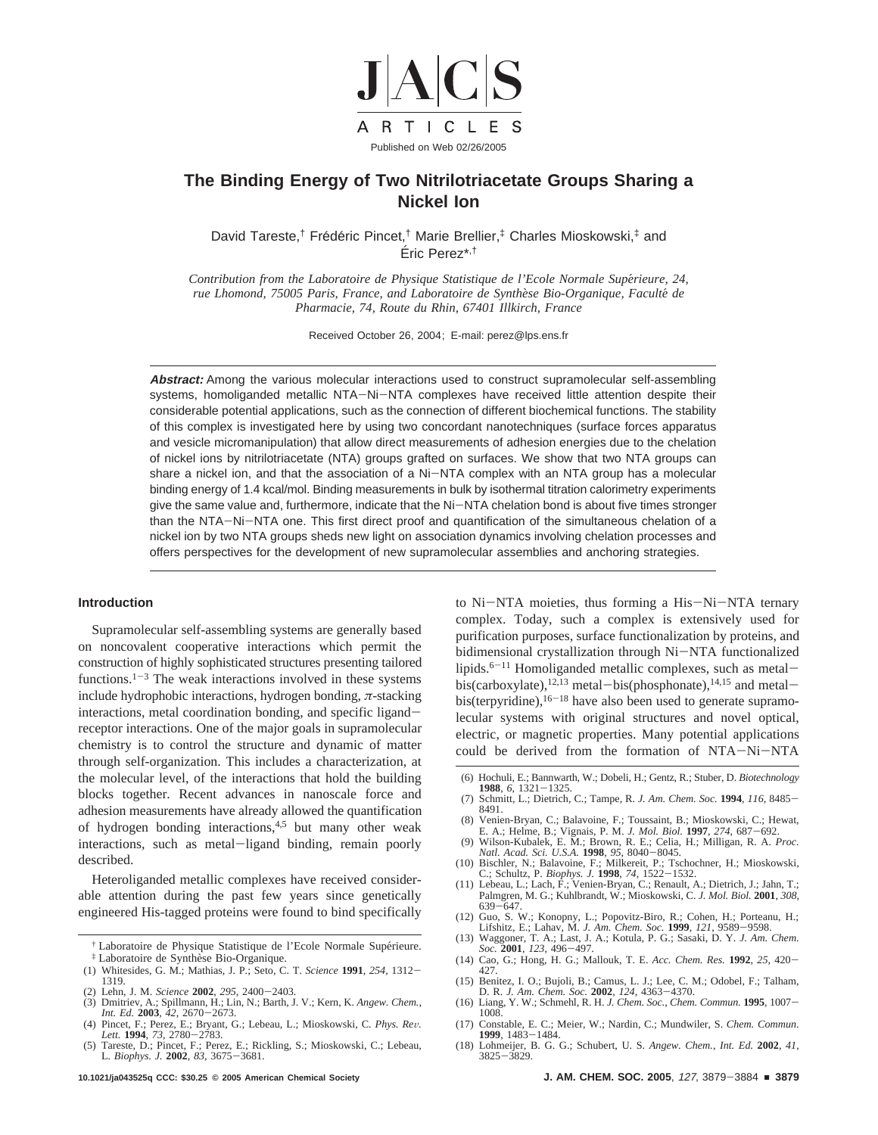

# **The Binding Energy of Two Nitrilotriacetate Groups Sharing a Nickel Ion**

David Tareste,<sup>†</sup> Frédéric Pincet,<sup>†</sup> Marie Brellier,<sup>‡</sup> Charles Mioskowski,<sup>‡</sup> and  $Éric$  Perez\*, $†$ 

*Contribution from the Laboratoire de Physique Statistique de l'Ecole Normale Supérieure, 24, rue Lhomond, 75005 Paris, France, and Laboratoire de Synthe*`*se Bio-Organique, Faculte*´ *de Pharmacie, 74, Route du Rhin, 67401 Illkirch, France*

Received October 26, 2004; E-mail: perez@lps.ens.fr

**Abstract:** Among the various molecular interactions used to construct supramolecular self-assembling systems, homoliganded metallic NTA-Ni-NTA complexes have received little attention despite their considerable potential applications, such as the connection of different biochemical functions. The stability of this complex is investigated here by using two concordant nanotechniques (surface forces apparatus and vesicle micromanipulation) that allow direct measurements of adhesion energies due to the chelation of nickel ions by nitrilotriacetate (NTA) groups grafted on surfaces. We show that two NTA groups can share a nickel ion, and that the association of a Ni-NTA complex with an NTA group has a molecular binding energy of 1.4 kcal/mol. Binding measurements in bulk by isothermal titration calorimetry experiments give the same value and, furthermore, indicate that the Ni-NTA chelation bond is about five times stronger than the NTA-Ni-NTA one. This first direct proof and quantification of the simultaneous chelation of a nickel ion by two NTA groups sheds new light on association dynamics involving chelation processes and offers perspectives for the development of new supramolecular assemblies and anchoring strategies.

# **Introduction**

Supramolecular self-assembling systems are generally based on noncovalent cooperative interactions which permit the construction of highly sophisticated structures presenting tailored functions. $1-3$  The weak interactions involved in these systems include hydrophobic interactions, hydrogen bonding, *π*-stacking interactions, metal coordination bonding, and specific ligandreceptor interactions. One of the major goals in supramolecular chemistry is to control the structure and dynamic of matter through self-organization. This includes a characterization, at the molecular level, of the interactions that hold the building blocks together. Recent advances in nanoscale force and adhesion measurements have already allowed the quantification of hydrogen bonding interactions,<sup>4,5</sup> but many other weak interactions, such as metal-ligand binding, remain poorly described.

Heteroliganded metallic complexes have received considerable attention during the past few years since genetically engineered His-tagged proteins were found to bind specifically

(1) Whitesides, G. M.; Mathias, J. P.; Seto, C. T. *Science* **<sup>1991</sup>**, *<sup>254</sup>*, 1312- 1319.

- (2) Lehn, J. M. *Science* **<sup>2002</sup>**, *<sup>295</sup>*, 2400-2403. (3) Dmitriev, A.; Spillmann, H.; Lin, N.; Barth, J. V.; Kern, K. *Angew. Chem.*,
- *Int. Ed.* **<sup>2003</sup>**, *<sup>42</sup>*, 2670-2673. (4) Pincet, F.; Perez, E.; Bryant, G.; Lebeau, L.; Mioskowski, C. *Phys. Re*V*.*
- *Lett.* **<sup>1994</sup>**, *<sup>73</sup>*, 2780-2783. (5) Tareste, D.; Pincet, F.; Perez, E.; Rickling, S.; Mioskowski, C.; Lebeau, L. *Biophys. J.* **<sup>2002</sup>**, *<sup>83</sup>*, 3675-3681.

to Ni-NTA moieties, thus forming a His-Ni-NTA ternary complex. Today, such a complex is extensively used for purification purposes, surface functionalization by proteins, and bidimensional crystallization through Ni-NTA functionalized lipids.<sup>6-11</sup> Homoliganded metallic complexes, such as metalbis(carboxylate),<sup>12,13</sup> metal-bis(phosphonate),<sup>14,15</sup> and metalbis(terpyridine), $16-18$  have also been used to generate supramolecular systems with original structures and novel optical, electric, or magnetic properties. Many potential applications could be derived from the formation of NTA-Ni-NTA

- (7) Schmitt, L.; Dietrich, C.; Tampe, R. *J. Am. Chem. Soc.* **<sup>1994</sup>**, *<sup>116</sup>*, 8485- 8491.
- (8) Venien-Bryan, C.; Balavoine, F.; Toussaint, B.; Mioskowski, C.; Hewat, E. A.; Helme, B.; Vignais, P. M. *J. Mol. Biol.* **<sup>1997</sup>**, *<sup>274</sup>*, 687-692. (9) Wilson-Kubalek, E. M.; Brown, R. E.; Celia, H.; Milligan, R. A. *Proc.*
- 
- *Natl. Acad. Sci. U.S.A.* **1998**, 95, 8040-8045.<br>
(10) Bischler, N.; Balavoine, F.; Milkereit, P.; Tschochner, H.; Mioskowski, C.; Schultz, P. *Biophys. J.* **1998**, 74, 1522-1532.<br>
(11) Lebeau. L.: Lach. F.: Venien-Brvan.
- (11) Lebeau, L.; Lach, F.; Venien-Bryan, C.; Renault, A.; Dietrich, J.; Jahn, T.; Palmgren, M. G.; Kuhlbrandt, W.; Mioskowski, C. *J. Mol. Biol.* **2001**, *308*, <sup>639</sup>-647. (12) Guo, S. W.; Konopny, L.; Popovitz-Biro, R.; Cohen, H.; Porteanu, H.;
- Lifshitz, E.; Lahav, M. *J. Am. Chem. Soc.* **<sup>1999</sup>**, *<sup>121</sup>*, 9589-9598. (13) Waggoner, T. A.; Last, J. A.; Kotula, P. G.; Sasaki, D. Y. *J. Am. Chem.*
- *Soc.* **<sup>2001</sup>**, *<sup>123</sup>*, 496-497.
- (14) Cao, G.; Hong, H. G.; Mallouk, T. E. *Acc. Chem. Res.* **<sup>1992</sup>**, *<sup>25</sup>*, 420- 427.
- (15) Benitez, I. O.; Bujoli, B.; Camus, L. J.; Lee, C. M.; Odobel, F.; Talham, D. R. *J. Am. Chem. Soc.* **2002**, 124, 4363–4370.<br>(16) Liang, Y. W.; Schmehl, R. H. *J. Chem. Soc., Chem. Commun*. **1995**, 1007–<br>1008.
- 1008.
- (17) Constable, E. C.; Meier, W.; Nardin, C.; Mundwiler, S. *Chem. Commun.* **<sup>1999</sup>**, 1483-1484. (18) Lohmeijer, B. G. G.; Schubert, U. S. *Angew. Chem.*, *Int. Ed.* **2002**, *41*,
- <sup>3825</sup>-3829.

<sup>&</sup>lt;sup>†</sup> Laboratoire de Physique Statistique de l'Ecole Normale Supérieure. ‡ Laboratoire de Synthe`se Bio-Organique.

<sup>(6)</sup> Hochuli, E.; Bannwarth, W.; Dobeli, H.; Gentz, R.; Stuber, D. *Biotechnology* **<sup>1988</sup>**, *<sup>6</sup>*, 1321-1325.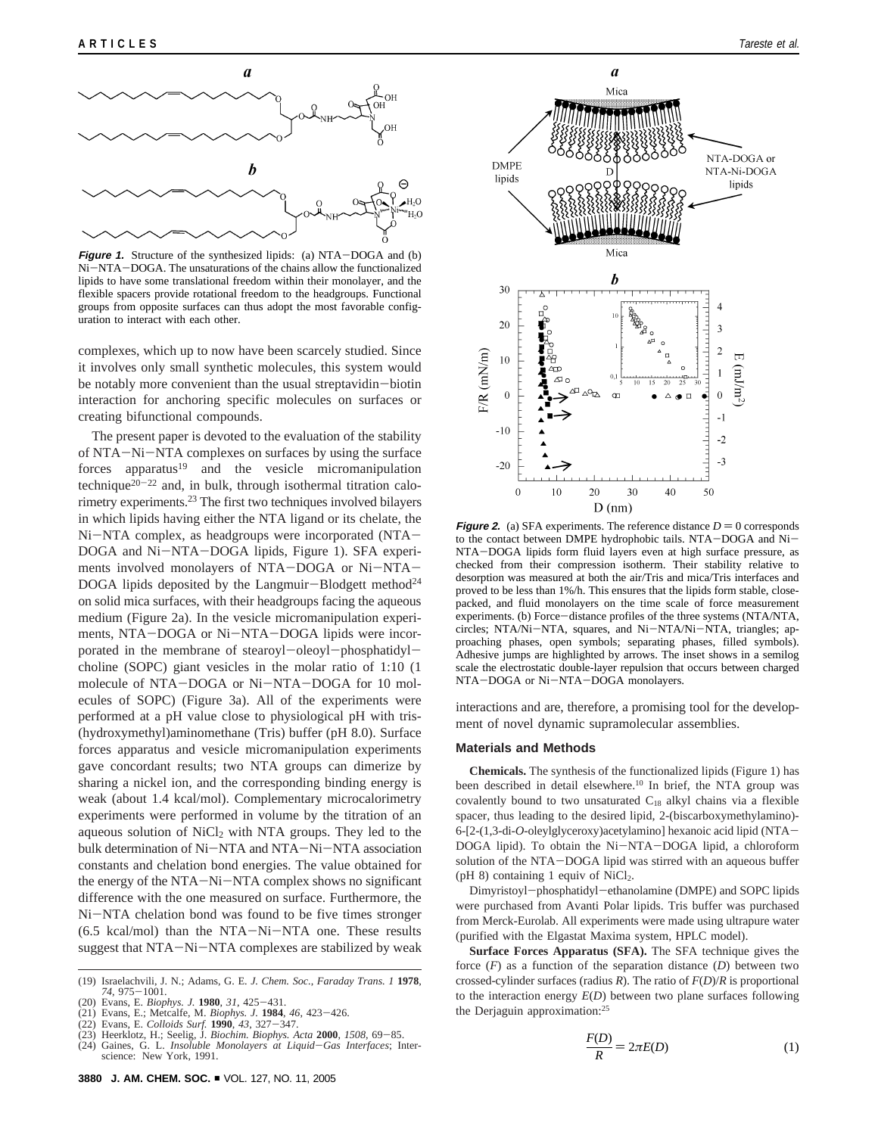

**Figure 1.** Structure of the synthesized lipids: (a) NTA-DOGA and (b) Ni-NTA-DOGA. The unsaturations of the chains allow the functionalized lipids to have some translational freedom within their monolayer, and the flexible spacers provide rotational freedom to the headgroups. Functional groups from opposite surfaces can thus adopt the most favorable configuration to interact with each other.

complexes, which up to now have been scarcely studied. Since it involves only small synthetic molecules, this system would be notably more convenient than the usual streptavidin-biotin interaction for anchoring specific molecules on surfaces or creating bifunctional compounds.

The present paper is devoted to the evaluation of the stability of NTA-Ni-NTA complexes on surfaces by using the surface forces apparatus<sup>19</sup> and the vesicle micromanipulation technique20-<sup>22</sup> and, in bulk, through isothermal titration calorimetry experiments.23 The first two techniques involved bilayers in which lipids having either the NTA ligand or its chelate, the Ni-NTA complex, as headgroups were incorporated (NTA-DOGA and Ni-NTA-DOGA lipids, Figure 1). SFA experiments involved monolayers of NTA-DOGA or Ni-NTA-DOGA lipids deposited by the Langmuir-Blodgett method<sup>24</sup> on solid mica surfaces, with their headgroups facing the aqueous medium (Figure 2a). In the vesicle micromanipulation experiments, NTA-DOGA or Ni-NTA-DOGA lipids were incorporated in the membrane of stearoyl-oleoyl-phosphatidylcholine (SOPC) giant vesicles in the molar ratio of 1:10 (1 molecule of NTA-DOGA or Ni-NTA-DOGA for 10 molecules of SOPC) (Figure 3a). All of the experiments were performed at a pH value close to physiological pH with tris- (hydroxymethyl)aminomethane (Tris) buffer (pH 8.0). Surface forces apparatus and vesicle micromanipulation experiments gave concordant results; two NTA groups can dimerize by sharing a nickel ion, and the corresponding binding energy is weak (about 1.4 kcal/mol). Complementary microcalorimetry experiments were performed in volume by the titration of an aqueous solution of  $NiCl<sub>2</sub>$  with NTA groups. They led to the bulk determination of Ni-NTA and NTA-Ni-NTA association constants and chelation bond energies. The value obtained for the energy of the NTA-Ni-NTA complex shows no significant difference with the one measured on surface. Furthermore, the Ni-NTA chelation bond was found to be five times stronger (6.5 kcal/mol) than the NTA-Ni-NTA one. These results suggest that NTA-Ni-NTA complexes are stabilized by weak



*<sup>74</sup>*, 975-1001. (20) Evans, E. *Biophys. J.* **<sup>1980</sup>**, *<sup>31</sup>*, 425-431. (21) Evans, E.; Metcalfe, M. *Biophys. J.* **<sup>1984</sup>**, *<sup>46</sup>*, 423-426.



**Figure 2.** (a) SFA experiments. The reference distance  $D = 0$  corresponds to the contact between DMPE hydrophobic tails. NTA-DOGA and Ni-NTA-DOGA lipids form fluid layers even at high surface pressure, as checked from their compression isotherm. Their stability relative to desorption was measured at both the air/Tris and mica/Tris interfaces and proved to be less than 1%/h. This ensures that the lipids form stable, closepacked, and fluid monolayers on the time scale of force measurement experiments. (b) Force-distance profiles of the three systems (NTA/NTA, circles; NTA/Ni-NTA, squares, and Ni-NTA/Ni-NTA, triangles; approaching phases, open symbols; separating phases, filled symbols). Adhesive jumps are highlighted by arrows. The inset shows in a semilog scale the electrostatic double-layer repulsion that occurs between charged NTA-DOGA or Ni-NTA-DOGA monolayers.

interactions and are, therefore, a promising tool for the development of novel dynamic supramolecular assemblies.

#### **Materials and Methods**

**Chemicals.** The synthesis of the functionalized lipids (Figure 1) has been described in detail elsewhere.<sup>10</sup> In brief, the NTA group was covalently bound to two unsaturated C18 alkyl chains via a flexible spacer, thus leading to the desired lipid, 2-(biscarboxymethylamino)- 6-[2-(1,3-di-*O*-oleylglyceroxy)acetylamino] hexanoic acid lipid (NTA-DOGA lipid). To obtain the Ni-NTA-DOGA lipid, a chloroform solution of the NTA-DOGA lipid was stirred with an aqueous buffer (pH 8) containing 1 equiv of  $NiCl<sub>2</sub>$ .

Dimyristoyl-phosphatidyl-ethanolamine (DMPE) and SOPC lipids were purchased from Avanti Polar lipids. Tris buffer was purchased from Merck-Eurolab. All experiments were made using ultrapure water (purified with the Elgastat Maxima system, HPLC model).

**Surface Forces Apparatus (SFA).** The SFA technique gives the force (*F*) as a function of the separation distance (*D*) between two crossed-cylinder surfaces (radius *R*). The ratio of *F*(*D*)/*R* is proportional to the interaction energy *E*(*D*) between two plane surfaces following the Derjaguin approximation:25

$$
\frac{F(D)}{R} = 2\pi E(D) \tag{1}
$$

<sup>(22)</sup> Evans, E. *Colloids Surf.* **<sup>1990</sup>**, *<sup>43</sup>*, 327-347.

<sup>(23)</sup> Heerklotz, H.; Seelig, J. *Biochim. Biophys. Acta* **<sup>2000</sup>**, *<sup>1508</sup>*, 69-85.

<sup>(24)</sup> Gaines, G. L. *Insoluble Monolayers at Liquid*-*Gas Interfaces*; Interscience: New York, 1991.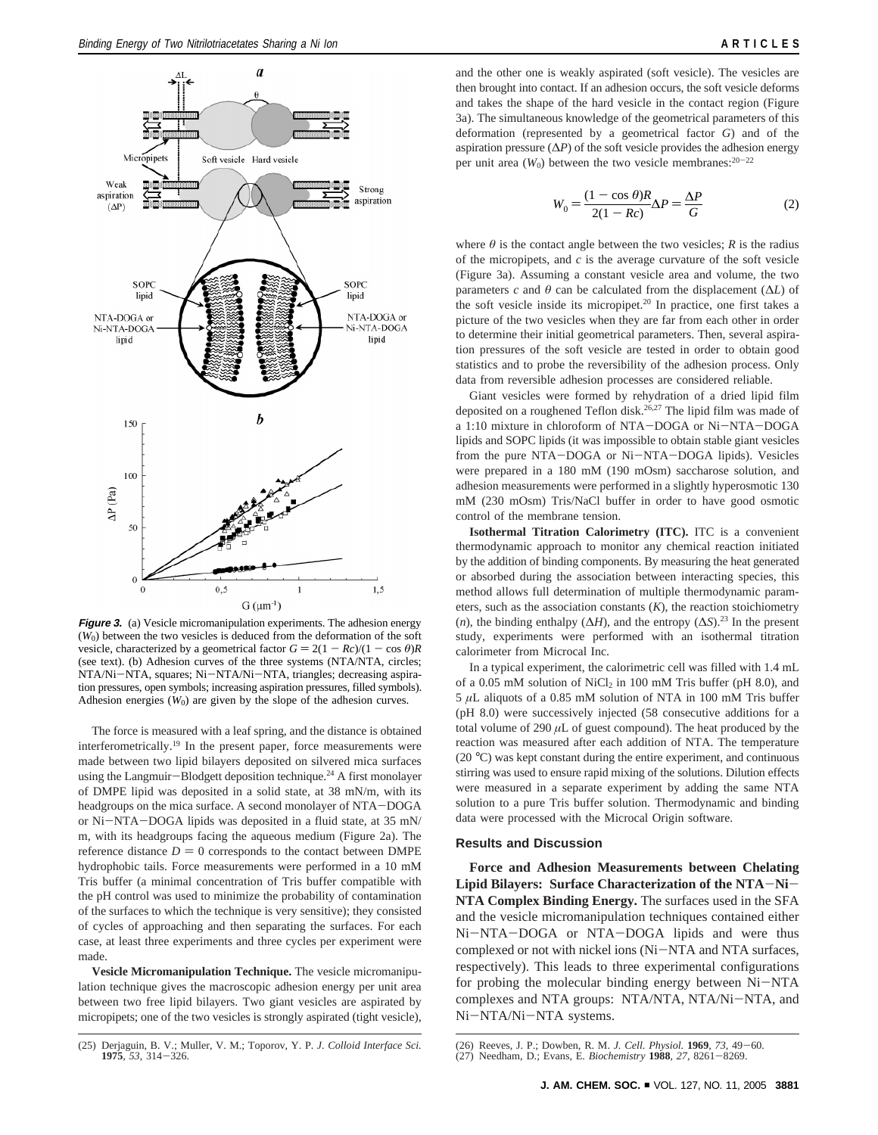

**Figure 3.** (a) Vesicle micromanipulation experiments. The adhesion energy  $(W<sub>0</sub>)$  between the two vesicles is deduced from the deformation of the soft vesicle, characterized by a geometrical factor  $G = 2(1 - Rc)/(1 - \cos \theta)R$ (see text). (b) Adhesion curves of the three systems (NTA/NTA, circles; NTA/Ni-NTA, squares; Ni-NTA/Ni-NTA, triangles; decreasing aspiration pressures, open symbols; increasing aspiration pressures, filled symbols). Adhesion energies  $(W_0)$  are given by the slope of the adhesion curves.

The force is measured with a leaf spring, and the distance is obtained interferometrically.19 In the present paper, force measurements were made between two lipid bilayers deposited on silvered mica surfaces using the Langmuir-Blodgett deposition technique.<sup>24</sup> A first monolayer of DMPE lipid was deposited in a solid state, at 38 mN/m, with its headgroups on the mica surface. A second monolayer of NTA-DOGA or Ni-NTA-DOGA lipids was deposited in a fluid state, at 35 mN/ m, with its headgroups facing the aqueous medium (Figure 2a). The reference distance  $D = 0$  corresponds to the contact between DMPE hydrophobic tails. Force measurements were performed in a 10 mM Tris buffer (a minimal concentration of Tris buffer compatible with the pH control was used to minimize the probability of contamination of the surfaces to which the technique is very sensitive); they consisted of cycles of approaching and then separating the surfaces. For each case, at least three experiments and three cycles per experiment were made.

**Vesicle Micromanipulation Technique.** The vesicle micromanipulation technique gives the macroscopic adhesion energy per unit area between two free lipid bilayers. Two giant vesicles are aspirated by micropipets; one of the two vesicles is strongly aspirated (tight vesicle),

and the other one is weakly aspirated (soft vesicle). The vesicles are then brought into contact. If an adhesion occurs, the soft vesicle deforms and takes the shape of the hard vesicle in the contact region (Figure 3a). The simultaneous knowledge of the geometrical parameters of this deformation (represented by a geometrical factor *G*) and of the aspiration pressure  $(\Delta P)$  of the soft vesicle provides the adhesion energy per unit area  $(W_0)$  between the two vesicle membranes:  $20-22$ 

$$
W_0 = \frac{(1 - \cos \theta)R}{2(1 - Rc)} \Delta P = \frac{\Delta P}{G}
$$
 (2)

where  $\theta$  is the contact angle between the two vesicles;  $R$  is the radius of the micropipets, and *c* is the average curvature of the soft vesicle (Figure 3a). Assuming a constant vesicle area and volume, the two parameters *c* and  $\theta$  can be calculated from the displacement ( $\Delta L$ ) of the soft vesicle inside its micropipet.20 In practice, one first takes a picture of the two vesicles when they are far from each other in order to determine their initial geometrical parameters. Then, several aspiration pressures of the soft vesicle are tested in order to obtain good statistics and to probe the reversibility of the adhesion process. Only data from reversible adhesion processes are considered reliable.

Giant vesicles were formed by rehydration of a dried lipid film deposited on a roughened Teflon disk.26,27 The lipid film was made of a 1:10 mixture in chloroform of NTA-DOGA or Ni-NTA-DOGA lipids and SOPC lipids (it was impossible to obtain stable giant vesicles from the pure NTA-DOGA or Ni-NTA-DOGA lipids). Vesicles were prepared in a 180 mM (190 mOsm) saccharose solution, and adhesion measurements were performed in a slightly hyperosmotic 130 mM (230 mOsm) Tris/NaCl buffer in order to have good osmotic control of the membrane tension.

**Isothermal Titration Calorimetry (ITC).** ITC is a convenient thermodynamic approach to monitor any chemical reaction initiated by the addition of binding components. By measuring the heat generated or absorbed during the association between interacting species, this method allows full determination of multiple thermodynamic parameters, such as the association constants (*K*), the reaction stoichiometry (*n*), the binding enthalpy ( $\Delta H$ ), and the entropy ( $\Delta S$ ).<sup>23</sup> In the present study, experiments were performed with an isothermal titration calorimeter from Microcal Inc.

In a typical experiment, the calorimetric cell was filled with 1.4 mL of a 0.05 mM solution of  $NiCl<sub>2</sub>$  in 100 mM Tris buffer (pH 8.0), and 5 *µ*L aliquots of a 0.85 mM solution of NTA in 100 mM Tris buffer (pH 8.0) were successively injected (58 consecutive additions for a total volume of 290  $\mu$ L of guest compound). The heat produced by the reaction was measured after each addition of NTA. The temperature (20 °C) was kept constant during the entire experiment, and continuous stirring was used to ensure rapid mixing of the solutions. Dilution effects were measured in a separate experiment by adding the same NTA solution to a pure Tris buffer solution. Thermodynamic and binding data were processed with the Microcal Origin software.

# **Results and Discussion**

**Force and Adhesion Measurements between Chelating Lipid Bilayers: Surface Characterization of the NTA**-**Ni**-**NTA Complex Binding Energy.** The surfaces used in the SFA and the vesicle micromanipulation techniques contained either Ni-NTA-DOGA or NTA-DOGA lipids and were thus complexed or not with nickel ions (Ni-NTA and NTA surfaces, respectively). This leads to three experimental configurations for probing the molecular binding energy between Ni-NTA complexes and NTA groups: NTA/NTA, NTA/Ni-NTA, and Ni-NTA/Ni-NTA systems.

<sup>(25)</sup> Derjaguin, B. V.; Muller, V. M.; Toporov, Y. P. *J. Colloid Interface Sci.* **<sup>1975</sup>**, *<sup>53</sup>*, 314-326.

<sup>(26)</sup> Reeves, J. P.; Dowben, R. M. *J. Cell. Physiol.* **<sup>1969</sup>**, *<sup>73</sup>*, 49-60. (27) Needham, D.; Evans, E. *Biochemistry* **<sup>1988</sup>**, *<sup>27</sup>*, 8261-8269.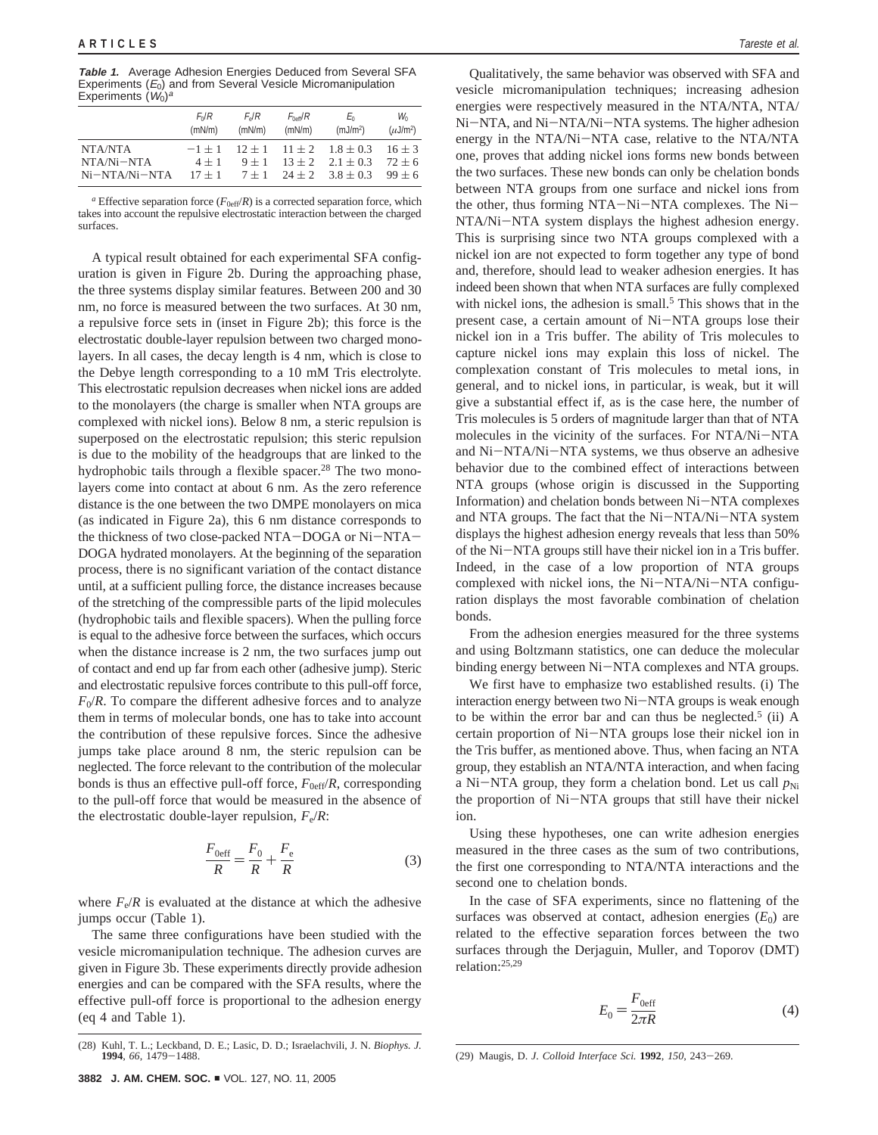**Table 1.** Average Adhesion Energies Deduced from Several SFA Experiments  $(E_0)$  and from Several Vesicle Micromanipulation Experiments  $(W<sub>0</sub>)<sup>a</sup>$ 

|                                          | $F_0/R$             | $F_{\rm e}/R$ | $F_{\text{neff}}/R$ | E۰                                                                                                 | W <sub>0</sub>                     |
|------------------------------------------|---------------------|---------------|---------------------|----------------------------------------------------------------------------------------------------|------------------------------------|
|                                          | (mN/m)              | (mN/m)        | (mN/m)              | (mJ/m <sup>2</sup> )                                                                               | $(\mu J/m^2)$                      |
| NTA/NTA<br>NTA/Ni-NTA<br>$Ni-NTA/Ni-NTA$ | $4 + 1$<br>$17 + 1$ |               |                     | $-1 \pm 1$ $12 \pm 1$ $11 \pm 2$ $1.8 \pm 0.3$<br>$9+1$ $13+2$ $2.1+0.3$<br>$7+1$ $24+2$ $3.8+0.3$ | $16 \pm 3$<br>$72 + 6$<br>$99 + 6$ |

 $a$  Effective separation force ( $F_{0 \text{eff}}/R$ ) is a corrected separation force, which takes into account the repulsive electrostatic interaction between the charged surfaces.

A typical result obtained for each experimental SFA configuration is given in Figure 2b. During the approaching phase, the three systems display similar features. Between 200 and 30 nm, no force is measured between the two surfaces. At 30 nm, a repulsive force sets in (inset in Figure 2b); this force is the electrostatic double-layer repulsion between two charged monolayers. In all cases, the decay length is 4 nm, which is close to the Debye length corresponding to a 10 mM Tris electrolyte. This electrostatic repulsion decreases when nickel ions are added to the monolayers (the charge is smaller when NTA groups are complexed with nickel ions). Below 8 nm, a steric repulsion is superposed on the electrostatic repulsion; this steric repulsion is due to the mobility of the headgroups that are linked to the hydrophobic tails through a flexible spacer.<sup>28</sup> The two monolayers come into contact at about 6 nm. As the zero reference distance is the one between the two DMPE monolayers on mica (as indicated in Figure 2a), this 6 nm distance corresponds to the thickness of two close-packed NTA-DOGA or Ni-NTA-DOGA hydrated monolayers. At the beginning of the separation process, there is no significant variation of the contact distance until, at a sufficient pulling force, the distance increases because of the stretching of the compressible parts of the lipid molecules (hydrophobic tails and flexible spacers). When the pulling force is equal to the adhesive force between the surfaces, which occurs when the distance increase is 2 nm, the two surfaces jump out of contact and end up far from each other (adhesive jump). Steric and electrostatic repulsive forces contribute to this pull-off force,  $F_0/R$ . To compare the different adhesive forces and to analyze them in terms of molecular bonds, one has to take into account the contribution of these repulsive forces. Since the adhesive jumps take place around 8 nm, the steric repulsion can be neglected. The force relevant to the contribution of the molecular bonds is thus an effective pull-off force,  $F_{0 \text{eff}}/R$ , corresponding to the pull-off force that would be measured in the absence of the electrostatic double-layer repulsion,  $F_e/R$ :

$$
\frac{F_{\text{oeff}}}{R} = \frac{F_0}{R} + \frac{F_e}{R}
$$
 (3)

where  $F_e/R$  is evaluated at the distance at which the adhesive jumps occur (Table 1).

The same three configurations have been studied with the vesicle micromanipulation technique. The adhesion curves are given in Figure 3b. These experiments directly provide adhesion energies and can be compared with the SFA results, where the effective pull-off force is proportional to the adhesion energy (eq 4 and Table 1).

Qualitatively, the same behavior was observed with SFA and vesicle micromanipulation techniques; increasing adhesion energies were respectively measured in the NTA/NTA, NTA/ Ni-NTA, and Ni-NTA/Ni-NTA systems. The higher adhesion energy in the NTA/Ni-NTA case, relative to the NTA/NTA one, proves that adding nickel ions forms new bonds between the two surfaces. These new bonds can only be chelation bonds between NTA groups from one surface and nickel ions from the other, thus forming NTA-Ni-NTA complexes. The Ni-NTA/Ni-NTA system displays the highest adhesion energy. This is surprising since two NTA groups complexed with a nickel ion are not expected to form together any type of bond and, therefore, should lead to weaker adhesion energies. It has indeed been shown that when NTA surfaces are fully complexed with nickel ions, the adhesion is small.<sup>5</sup> This shows that in the present case, a certain amount of Ni-NTA groups lose their nickel ion in a Tris buffer. The ability of Tris molecules to capture nickel ions may explain this loss of nickel. The complexation constant of Tris molecules to metal ions, in general, and to nickel ions, in particular, is weak, but it will give a substantial effect if, as is the case here, the number of Tris molecules is 5 orders of magnitude larger than that of NTA molecules in the vicinity of the surfaces. For NTA/Ni-NTA and Ni-NTA/Ni-NTA systems, we thus observe an adhesive behavior due to the combined effect of interactions between NTA groups (whose origin is discussed in the Supporting Information) and chelation bonds between Ni-NTA complexes and NTA groups. The fact that the Ni-NTA/Ni-NTA system displays the highest adhesion energy reveals that less than 50% of the Ni-NTA groups still have their nickel ion in a Tris buffer. Indeed, in the case of a low proportion of NTA groups complexed with nickel ions, the Ni-NTA/Ni-NTA configuration displays the most favorable combination of chelation bonds.

From the adhesion energies measured for the three systems and using Boltzmann statistics, one can deduce the molecular binding energy between Ni-NTA complexes and NTA groups.

We first have to emphasize two established results. (i) The interaction energy between two Ni-NTA groups is weak enough to be within the error bar and can thus be neglected.<sup>5</sup> (ii) A certain proportion of Ni-NTA groups lose their nickel ion in the Tris buffer, as mentioned above. Thus, when facing an NTA group, they establish an NTA/NTA interaction, and when facing a Ni-NTA group, they form a chelation bond. Let us call  $p_{Ni}$ the proportion of Ni-NTA groups that still have their nickel ion.

Using these hypotheses, one can write adhesion energies measured in the three cases as the sum of two contributions, the first one corresponding to NTA/NTA interactions and the second one to chelation bonds.

In the case of SFA experiments, since no flattening of the surfaces was observed at contact, adhesion energies  $(E_0)$  are related to the effective separation forces between the two surfaces through the Derjaguin, Muller, and Toporov (DMT) relation:25,29

$$
E_0 = \frac{F_{0\text{eff}}}{2\pi R} \tag{4}
$$

<sup>(28)</sup> Kuhl, T. L.; Leckband, D. E.; Lasic, D. D.; Israelachvili, J. N. *Biophys. J.*

**<sup>1994</sup>**, *<sup>66</sup>*, 1479-1488. (29) Maugis, D. *J. Colloid Interface Sci.* **<sup>1992</sup>**, *<sup>150</sup>*, 243-269.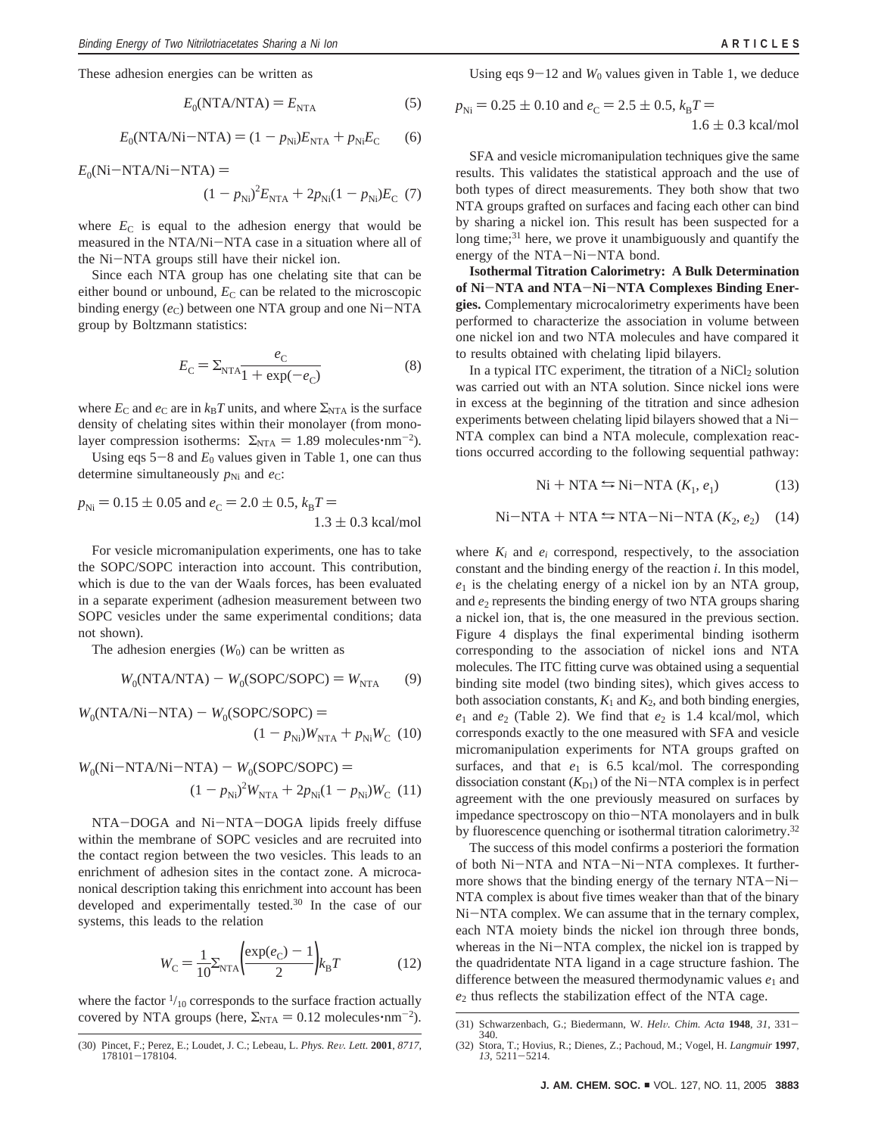These adhesion energies can be written as

$$
E_0(\text{NTA}/\text{NTA}) = E_{\text{NTA}} \tag{5}
$$

$$
E_0(\text{NTA/Ni} - \text{NTA}) = (1 - p_{\text{Ni}})E_{\text{NTA}} + p_{\text{Ni}}E_{\text{C}} \tag{6}
$$

$$
E_0(\text{Ni}-\text{NTA/Ni}-\text{NTA}) =
$$

$$
(1 - p_{\rm Ni})^2 E_{\rm NTA} + 2p_{\rm Ni}(1 - p_{\rm Ni})E_{\rm C} \tag{7}
$$

where  $E_C$  is equal to the adhesion energy that would be measured in the NTA/Ni-NTA case in a situation where all of the Ni-NTA groups still have their nickel ion.

Since each NTA group has one chelating site that can be either bound or unbound,  $E_C$  can be related to the microscopic binding energy  $(e_C)$  between one NTA group and one Ni $-NTA$ group by Boltzmann statistics:

$$
E_{\rm C} = \Sigma_{\rm NTA} \frac{e_{\rm C}}{1 + \exp(-e_{\rm C})}
$$
 (8)

where  $E_C$  and  $e_C$  are in  $k_B T$  units, and where  $\Sigma_{NTA}$  is the surface density of chelating sites within their monolayer (from monolayer compression isotherms:  $\Sigma_{NTA} = 1.89$  molecules $\cdot$ nm<sup>-2</sup>).

Using eqs  $5-8$  and  $E_0$  values given in Table 1, one can thus determine simultaneously  $p_{Ni}$  and  $e_{C}$ :

$$
p_{\text{Ni}} = 0.15 \pm 0.05
$$
 and  $e_C = 2.0 \pm 0.5$ ,  $k_B T =$   
1.3 ± 0.3 kcal/mol

For vesicle micromanipulation experiments, one has to take the SOPC/SOPC interaction into account. This contribution, which is due to the van der Waals forces, has been evaluated in a separate experiment (adhesion measurement between two SOPC vesicles under the same experimental conditions; data not shown).

The adhesion energies  $(W_0)$  can be written as

$$
W_0(\text{NTA}/\text{NTA}) - W_0(\text{SOPC}/\text{SOPC}) = W_{\text{NTA}} \tag{9}
$$

$$
W_0(\text{NTA/Ni}-\text{NTA}) - W_0(\text{SOPC/SOPC}) =
$$
  

$$
(1 - p_{\text{Ni}})W_{\text{NTA}} + p_{\text{Ni}}W_{\text{C}} \quad (10)
$$

$$
W_0(\text{Ni}-\text{NTA/Ni}-\text{NTA}) - W_0(\text{SOPC/SOPC}) =
$$

$$
(1 - p_{\text{Ni}})^2 W_{\text{NTA}} + 2p_{\text{Ni}}(1 - p_{\text{Ni}})W_{\text{C}} \quad (11)
$$

NTA-DOGA and Ni-NTA-DOGA lipids freely diffuse within the membrane of SOPC vesicles and are recruited into the contact region between the two vesicles. This leads to an enrichment of adhesion sites in the contact zone. A microcanonical description taking this enrichment into account has been developed and experimentally tested.<sup>30</sup> In the case of our systems, this leads to the relation

$$
W_{\rm C} = \frac{1}{10} \Sigma_{\rm NTA} \left( \frac{\exp(e_{\rm C}) - 1}{2} \right) k_{\rm B} T \tag{12}
$$

where the factor  $\frac{1}{10}$  corresponds to the surface fraction actually covered by NTA groups (here,  $\Sigma_{NTA} = 0.12$  molecules $\cdot$ nm<sup>-2</sup>). Using eqs  $9-12$  and  $W_0$  values given in Table 1, we deduce

$$
p_{\text{Ni}} = 0.25 \pm 0.10
$$
 and  $e_C = 2.5 \pm 0.5$ ,  $k_B T =$ 

 $1.6 \pm 0.3$  kcal/mol

SFA and vesicle micromanipulation techniques give the same results. This validates the statistical approach and the use of both types of direct measurements. They both show that two NTA groups grafted on surfaces and facing each other can bind by sharing a nickel ion. This result has been suspected for a long time;<sup>31</sup> here, we prove it unambiguously and quantify the energy of the NTA-Ni-NTA bond.

**Isothermal Titration Calorimetry: A Bulk Determination of Ni**-**NTA and NTA**-**Ni**-**NTA Complexes Binding Energies.** Complementary microcalorimetry experiments have been performed to characterize the association in volume between one nickel ion and two NTA molecules and have compared it to results obtained with chelating lipid bilayers.

In a typical ITC experiment, the titration of a  $NiCl<sub>2</sub>$  solution was carried out with an NTA solution. Since nickel ions were in excess at the beginning of the titration and since adhesion experiments between chelating lipid bilayers showed that a Ni-NTA complex can bind a NTA molecule, complexation reactions occurred according to the following sequential pathway:

$$
Ni + NTA \leftrightharpoons Ni-NTA (K_1, e_1)
$$
 (13)

$$
Ni-NTA + NTA \Leftrightarrow NTA - Ni-NTA (K_2, e_2) \quad (14)
$$

where  $K_i$  and  $e_i$  correspond, respectively, to the association constant and the binding energy of the reaction *i*. In this model,  $e_1$  is the chelating energy of a nickel ion by an NTA group, and  $e_2$  represents the binding energy of two NTA groups sharing a nickel ion, that is, the one measured in the previous section. Figure 4 displays the final experimental binding isotherm corresponding to the association of nickel ions and NTA molecules. The ITC fitting curve was obtained using a sequential binding site model (two binding sites), which gives access to both association constants,  $K_1$  and  $K_2$ , and both binding energies,  $e_1$  and  $e_2$  (Table 2). We find that  $e_2$  is 1.4 kcal/mol, which corresponds exactly to the one measured with SFA and vesicle micromanipulation experiments for NTA groups grafted on surfaces, and that  $e_1$  is 6.5 kcal/mol. The corresponding dissociation constant  $(K_{D1})$  of the Ni-NTA complex is in perfect agreement with the one previously measured on surfaces by impedance spectroscopy on thio-NTA monolayers and in bulk by fluorescence quenching or isothermal titration calorimetry.<sup>32</sup>

The success of this model confirms a posteriori the formation of both Ni-NTA and NTA-Ni-NTA complexes. It furthermore shows that the binding energy of the ternary NTA-Ni-NTA complex is about five times weaker than that of the binary Ni-NTA complex. We can assume that in the ternary complex, each NTA moiety binds the nickel ion through three bonds, whereas in the Ni-NTA complex, the nickel ion is trapped by the quadridentate NTA ligand in a cage structure fashion. The difference between the measured thermodynamic values  $e_1$  and *e*<sup>2</sup> thus reflects the stabilization effect of the NTA cage.

<sup>(30)</sup> Pincet, F.; Perez, E.; Loudet, J. C.; Lebeau, L. *Phys. Re*V*. Lett.* **<sup>2001</sup>**, *<sup>8717</sup>*, <sup>178101</sup>-178104.

<sup>(31)</sup> Schwarzenbach, G.; Biedermann, W. *Hel*V*. Chim. Acta* **<sup>1948</sup>**, *<sup>31</sup>*, 331- 340.

<sup>(32)</sup> Stora, T.; Hovius, R.; Dienes, Z.; Pachoud, M.; Vogel, H. *Langmuir* **<sup>1997</sup>**, *<sup>13</sup>*, 5211-5214.